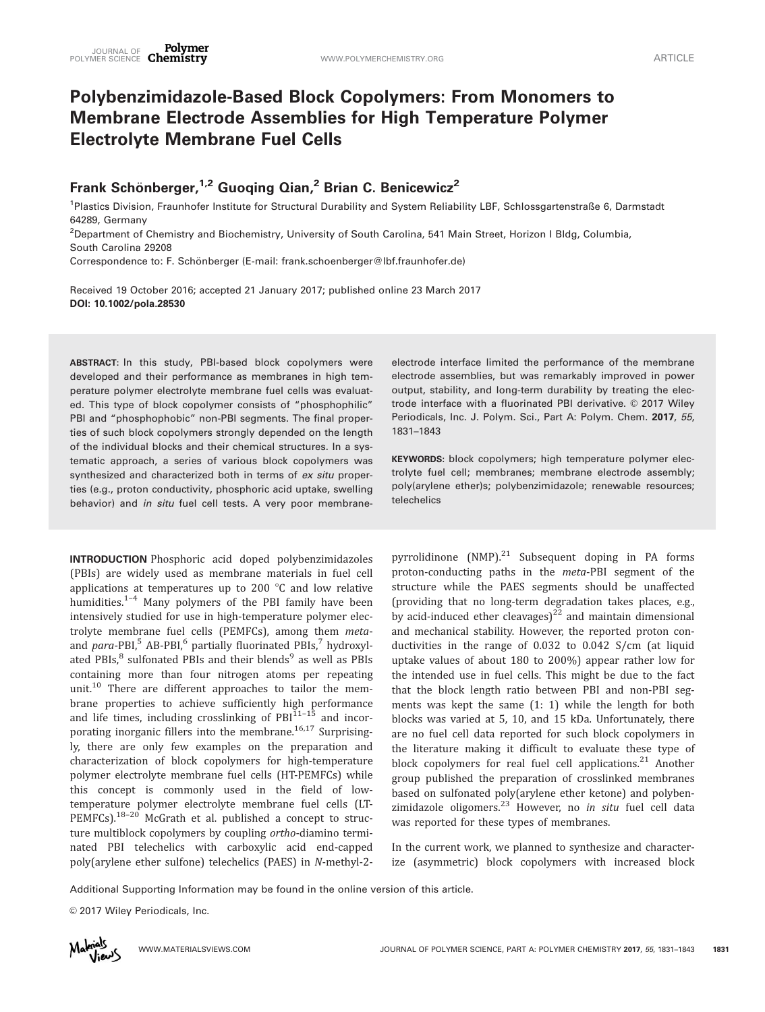# Polybenzimidazole-Based Block Copolymers: From Monomers to Membrane Electrode Assemblies for High Temperature Polymer Electrolyte Membrane Fuel Cells

# Frank Schönberger,<sup>1,2</sup> Guoqing Qian,<sup>2</sup> Brian C. Benicewicz<sup>2</sup>

<sup>1</sup>Plastics Division, Fraunhofer Institute for Structural Durability and System Reliability LBF, Schlossgartenstraße 6, Darmstadt 64289, Germany

2 Department of Chemistry and Biochemistry, University of South Carolina, 541 Main Street, Horizon I Bldg, Columbia, South Carolina 29208

Correspondence to: F. Schönberger (E-mail: frank.schoenberger@lbf.fraunhofer.de)

Received 19 October 2016; accepted 21 January 2017; published online 23 March 2017 DOI: 10.1002/pola.28530

ABSTRACT: In this study, PBI-based block copolymers were developed and their performance as membranes in high temperature polymer electrolyte membrane fuel cells was evaluated. This type of block copolymer consists of "phosphophilic" PBI and "phosphophobic" non-PBI segments. The final properties of such block copolymers strongly depended on the length of the individual blocks and their chemical structures. In a systematic approach, a series of various block copolymers was synthesized and characterized both in terms of ex situ properties (e.g., proton conductivity, phosphoric acid uptake, swelling behavior) and in situ fuel cell tests. A very poor membrane-

INTRODUCTION Phosphoric acid doped polybenzimidazoles (PBIs) are widely used as membrane materials in fuel cell applications at temperatures up to 200  $^{\circ}$ C and low relative humidities. $1-4$  Many polymers of the PBI family have been intensively studied for use in high-temperature polymer electrolyte membrane fuel cells (PEMFCs), among them metaand  $para-PBI$ <sup>5</sup> AB-PBI<sub>,</sub><sup>6</sup> partially fluorinated PBIs,<sup>7</sup> hydroxylated PBIs,<sup>8</sup> sulfonated PBIs and their blends<sup>9</sup> as well as PBIs containing more than four nitrogen atoms per repeating unit.<sup>10</sup> There are different approaches to tailor the membrane properties to achieve sufficiently high performance and life times, including crosslinking of  $PBI<sup>11-15</sup>$  and incorporating inorganic fillers into the membrane.<sup>16,17</sup> Surprisingly, there are only few examples on the preparation and characterization of block copolymers for high-temperature polymer electrolyte membrane fuel cells (HT-PEMFCs) while this concept is commonly used in the field of lowtemperature polymer electrolyte membrane fuel cells (LT-PEMFCs).<sup>18-20</sup> McGrath et al. published a concept to structure multiblock copolymers by coupling ortho-diamino terminated PBI telechelics with carboxylic acid end-capped poly(arylene ether sulfone) telechelics (PAES) in N-methyl-2electrode interface limited the performance of the membrane electrode assemblies, but was remarkably improved in power output, stability, and long-term durability by treating the electrode interface with a fluorinated PBI derivative. © 2017 Wiley Periodicals, Inc. J. Polym. Sci., Part A: Polym. Chem. 2017, 55, 1831–1843

KEYWORDS: block copolymers; high temperature polymer electrolyte fuel cell; membranes; membrane electrode assembly; poly(arylene ether)s; polybenzimidazole; renewable resources; telechelics

pyrrolidinone  $(NMP)^{21}$  Subsequent doping in PA forms proton-conducting paths in the meta-PBI segment of the structure while the PAES segments should be unaffected (providing that no long-term degradation takes places, e.g., by acid-induced ether cleavages)<sup>22</sup> and maintain dimensional and mechanical stability. However, the reported proton conductivities in the range of 0.032 to 0.042 S/cm (at liquid uptake values of about 180 to 200%) appear rather low for the intended use in fuel cells. This might be due to the fact that the block length ratio between PBI and non-PBI segments was kept the same (1: 1) while the length for both blocks was varied at 5, 10, and 15 kDa. Unfortunately, there are no fuel cell data reported for such block copolymers in the literature making it difficult to evaluate these type of block copolymers for real fuel cell applications. $21$  Another group published the preparation of crosslinked membranes based on sulfonated poly(arylene ether ketone) and polybenzimidazole oligomers.<sup>23</sup> However, no in situ fuel cell data was reported for these types of membranes.

In the current work, we planned to synthesize and characterize (asymmetric) block copolymers with increased block

Additional Supporting Information may be found in the online version of this article.

© 2017 Wiley Periodicals, Inc.

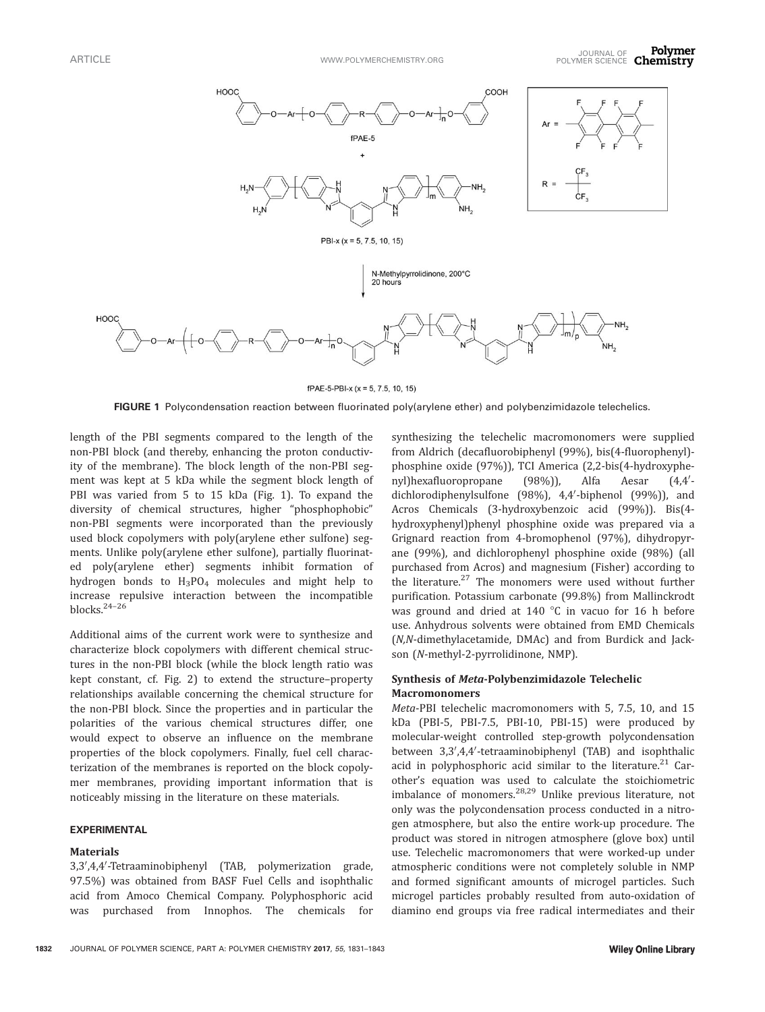

fPAE-5-PBI-x (x = 5, 7.5, 10, 15)

FIGURE 1 Polycondensation reaction between fluorinated poly(arylene ether) and polybenzimidazole telechelics.

length of the PBI segments compared to the length of the non-PBI block (and thereby, enhancing the proton conductivity of the membrane). The block length of the non-PBI segment was kept at 5 kDa while the segment block length of PBI was varied from 5 to 15 kDa (Fig. 1). To expand the diversity of chemical structures, higher "phosphophobic" non-PBI segments were incorporated than the previously used block copolymers with poly(arylene ether sulfone) segments. Unlike poly(arylene ether sulfone), partially fluorinated poly(arylene ether) segments inhibit formation of hydrogen bonds to H<sub>3</sub>PO<sub>4</sub> molecules and might help to increase repulsive interaction between the incompatible blocks.24–26

Additional aims of the current work were to synthesize and characterize block copolymers with different chemical structures in the non-PBI block (while the block length ratio was kept constant, cf. Fig. 2) to extend the structure–property relationships available concerning the chemical structure for the non-PBI block. Since the properties and in particular the polarities of the various chemical structures differ, one would expect to observe an influence on the membrane properties of the block copolymers. Finally, fuel cell characterization of the membranes is reported on the block copolymer membranes, providing important information that is noticeably missing in the literature on these materials.

#### EXPERIMENTAL

#### **Materials**

3,3',4,4'-Tetraaminobiphenyl (TAB, polymerization grade, 97.5%) was obtained from BASF Fuel Cells and isophthalic acid from Amoco Chemical Company. Polyphosphoric acid was purchased from Innophos. The chemicals for synthesizing the telechelic macromonomers were supplied from Aldrich (decafluorobiphenyl (99%), bis(4-fluorophenyl) phosphine oxide (97%)), TCI America (2,2-bis(4-hydroxyphenyl)hexafluoropropane (98%)), Alfa Aesar  $(4.4'$ dichlorodiphenylsulfone (98%), 4,4'-biphenol (99%)), and Acros Chemicals (3-hydroxybenzoic acid (99%)). Bis(4 hydroxyphenyl)phenyl phosphine oxide was prepared via a Grignard reaction from 4-bromophenol (97%), dihydropyrane (99%), and dichlorophenyl phosphine oxide (98%) (all purchased from Acros) and magnesium (Fisher) according to the literature.<sup>27</sup> The monomers were used without further purification. Potassium carbonate (99.8%) from Mallinckrodt was ground and dried at  $140\degree C$  in vacuo for 16 h before use. Anhydrous solvents were obtained from EMD Chemicals (N,N-dimethylacetamide, DMAc) and from Burdick and Jackson (N-methyl-2-pyrrolidinone, NMP).

# Synthesis of Meta-Polybenzimidazole Telechelic **Macromonomers**

Meta-PBI telechelic macromonomers with 5, 7.5, 10, and 15 kDa (PBI-5, PBI-7.5, PBI-10, PBI-15) were produced by molecular-weight controlled step-growth polycondensation between 3,3',4,4'-tetraaminobiphenyl (TAB) and isophthalic acid in polyphosphoric acid similar to the literature. $21$  Carother's equation was used to calculate the stoichiometric imbalance of monomers.28,29 Unlike previous literature, not only was the polycondensation process conducted in a nitrogen atmosphere, but also the entire work-up procedure. The product was stored in nitrogen atmosphere (glove box) until use. Telechelic macromonomers that were worked-up under atmospheric conditions were not completely soluble in NMP and formed significant amounts of microgel particles. Such microgel particles probably resulted from auto-oxidation of diamino end groups via free radical intermediates and their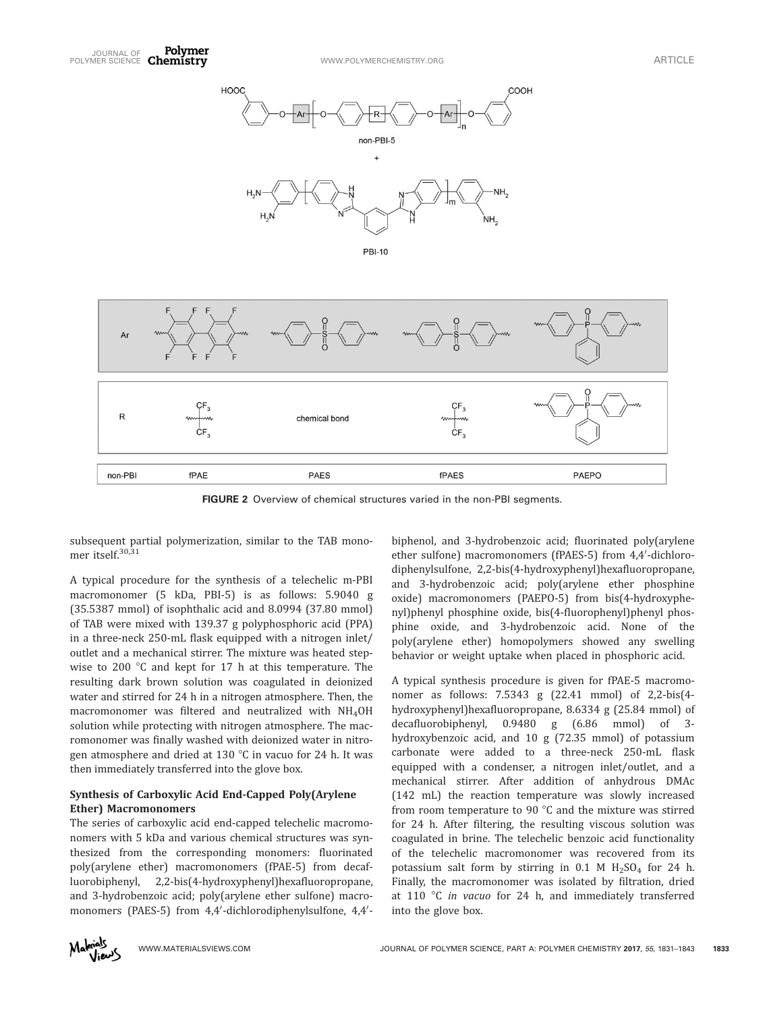

FIGURE 2 Overview of chemical structures varied in the non-PBI segments.

subsequent partial polymerization, similar to the TAB monomer itself.<sup>30,31</sup>

A typical procedure for the synthesis of a telechelic m-PBI macromonomer (5 kDa, PBI-5) is as follows: 5.9040 g (35.5387 mmol) of isophthalic acid and 8.0994 (37.80 mmol) of TAB were mixed with 139.37 g polyphosphoric acid (PPA) in a three-neck 250-mL flask equipped with a nitrogen inlet/ outlet and a mechanical stirrer. The mixture was heated stepwise to 200  $\degree$ C and kept for 17 h at this temperature. The resulting dark brown solution was coagulated in deionized water and stirred for 24 h in a nitrogen atmosphere. Then, the macromonomer was filtered and neutralized with NH4OH solution while protecting with nitrogen atmosphere. The macromonomer was finally washed with deionized water in nitrogen atmosphere and dried at 130  $\degree$ C in vacuo for 24 h. It was then immediately transferred into the glove box.

# Synthesis of Carboxylic Acid End-Capped Poly(Arylene Ether) Macromonomers

The series of carboxylic acid end-capped telechelic macromonomers with 5 kDa and various chemical structures was synthesized from the corresponding monomers: fluorinated poly(arylene ether) macromonomers (fPAE-5) from decafluorobiphenyl, 2,2-bis(4-hydroxyphenyl)hexafluoropropane, and 3-hydrobenzoic acid; poly(arylene ether sulfone) macromonomers (PAES-5) from 4,4'-dichlorodiphenylsulfone, 4,4'-

biphenol, and 3-hydrobenzoic acid; fluorinated poly(arylene ether sulfone) macromonomers (fPAES-5) from 4,4'-dichlorodiphenylsulfone, 2,2-bis(4-hydroxyphenyl)hexafluoropropane, and 3-hydrobenzoic acid; poly(arylene ether phosphine oxide) macromonomers (PAEPO-5) from bis(4-hydroxyphenyl)phenyl phosphine oxide, bis(4-fluorophenyl)phenyl phosphine oxide, and 3-hydrobenzoic acid. None of the poly(arylene ether) homopolymers showed any swelling behavior or weight uptake when placed in phosphoric acid.

A typical synthesis procedure is given for fPAE-5 macromonomer as follows: 7.5343 g (22.41 mmol) of 2,2-bis(4 hydroxyphenyl)hexafluoropropane, 8.6334 g (25.84 mmol) of decafluorobiphenyl, 0.9480 g (6.86 mmol) of 3 hydroxybenzoic acid, and 10 g (72.35 mmol) of potassium carbonate were added to a three-neck 250-mL flask equipped with a condenser, a nitrogen inlet/outlet, and a mechanical stirrer. After addition of anhydrous DMAc (142 mL) the reaction temperature was slowly increased from room temperature to 90 $^{\circ}$ C and the mixture was stirred for 24 h. After filtering, the resulting viscous solution was coagulated in brine. The telechelic benzoic acid functionality of the telechelic macromonomer was recovered from its potassium salt form by stirring in 0.1 M  $H<sub>2</sub>SO<sub>4</sub>$  for 24 h. Finally, the macromonomer was isolated by filtration, dried at 110  $\degree$ C in vacuo for 24 h, and immediately transferred into the glove box.

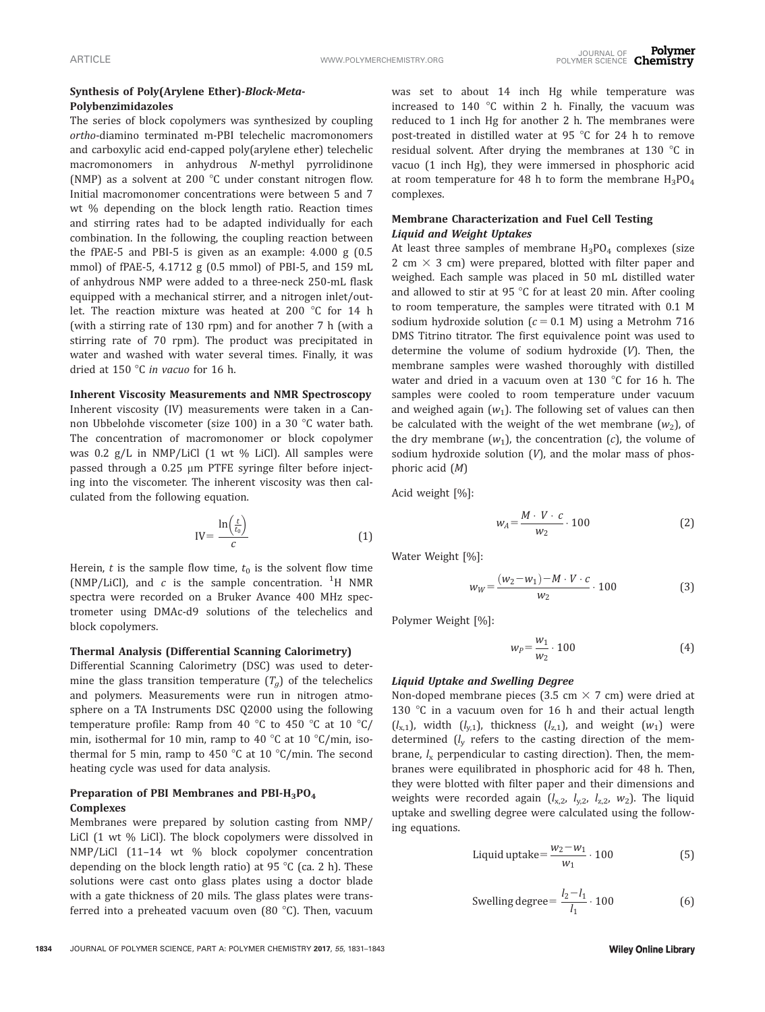# Synthesis of Poly(Arylene Ether)-Block-Meta-Polybenzimidazoles

The series of block copolymers was synthesized by coupling ortho-diamino terminated m-PBI telechelic macromonomers and carboxylic acid end-capped poly(arylene ether) telechelic macromonomers in anhydrous N-methyl pyrrolidinone (NMP) as a solvent at 200  $^{\circ}$ C under constant nitrogen flow. Initial macromonomer concentrations were between 5 and 7 wt % depending on the block length ratio. Reaction times and stirring rates had to be adapted individually for each combination. In the following, the coupling reaction between the fPAE-5 and PBI-5 is given as an example: 4.000 g (0.5 mmol) of fPAE-5, 4.1712 g (0.5 mmol) of PBI-5, and 159 mL of anhydrous NMP were added to a three-neck 250-mL flask equipped with a mechanical stirrer, and a nitrogen inlet/outlet. The reaction mixture was heated at 200 °C for 14 h (with a stirring rate of 130 rpm) and for another 7 h (with a stirring rate of 70 rpm). The product was precipitated in water and washed with water several times. Finally, it was dried at 150  $\degree$ C in vacuo for 16 h.

#### Inherent Viscosity Measurements and NMR Spectroscopy

Inherent viscosity (IV) measurements were taken in a Cannon Ubbelohde viscometer (size 100) in a 30 °C water bath. The concentration of macromonomer or block copolymer was 0.2 g/L in NMP/LiCl (1 wt % LiCl). All samples were passed through a  $0.25 \mu m$  PTFE syringe filter before injecting into the viscometer. The inherent viscosity was then calculated from the following equation.

$$
IV = \frac{\ln\left(\frac{t}{t_0}\right)}{c} \tag{1}
$$

Herein,  $t$  is the sample flow time,  $t_0$  is the solvent flow time (NMP/LiCl), and  $c$  is the sample concentration. <sup>1</sup>H NMR spectra were recorded on a Bruker Avance 400 MHz spectrometer using DMAc-d9 solutions of the telechelics and block copolymers.

#### Thermal Analysis (Differential Scanning Calorimetry)

Differential Scanning Calorimetry (DSC) was used to determine the glass transition temperature  $(T_a)$  of the telechelics and polymers. Measurements were run in nitrogen atmosphere on a TA Instruments DSC Q2000 using the following temperature profile: Ramp from 40  $\degree$ C to 450  $\degree$ C at 10  $\degree$ C/ min, isothermal for 10 min, ramp to 40  $\degree$ C at 10  $\degree$ C/min, isothermal for 5 min, ramp to 450  $\degree$ C at 10  $\degree$ C/min. The second heating cycle was used for data analysis.

# Preparation of PBI Membranes and PBI-H<sub>3</sub>PO<sub>4</sub> Complexes

Membranes were prepared by solution casting from NMP/ LiCl (1 wt % LiCl). The block copolymers were dissolved in NMP/LiCl (11–14 wt % block copolymer concentration depending on the block length ratio) at 95  $\degree$ C (ca. 2 h). These solutions were cast onto glass plates using a doctor blade with a gate thickness of 20 mils. The glass plates were transferred into a preheated vacuum oven  $(80 °C)$ . Then, vacuum

was set to about 14 inch Hg while temperature was increased to 140  $\degree$ C within 2 h. Finally, the vacuum was reduced to 1 inch Hg for another 2 h. The membranes were post-treated in distilled water at 95  $\degree$ C for 24 h to remove residual solvent. After drying the membranes at 130  $^{\circ}$ C in vacuo (1 inch Hg), they were immersed in phosphoric acid at room temperature for 48 h to form the membrane  $H_3PO_4$ complexes.

# Membrane Characterization and Fuel Cell Testing Liquid and Weight Uptakes

At least three samples of membrane  $H_3PO_4$  complexes (size 2 cm  $\times$  3 cm) were prepared, blotted with filter paper and weighed. Each sample was placed in 50 mL distilled water and allowed to stir at 95  $\degree$ C for at least 20 min. After cooling to room temperature, the samples were titrated with 0.1 M sodium hydroxide solution ( $c = 0.1$  M) using a Metrohm 716 DMS Titrino titrator. The first equivalence point was used to determine the volume of sodium hydroxide (V). Then, the membrane samples were washed thoroughly with distilled water and dried in a vacuum oven at 130  $\degree$ C for 16 h. The samples were cooled to room temperature under vacuum and weighed again  $(w_1)$ . The following set of values can then be calculated with the weight of the wet membrane  $(w_2)$ , of the dry membrane  $(w_1)$ , the concentration  $(c)$ , the volume of sodium hydroxide solution  $(V)$ , and the molar mass of phosphoric acid (M)

Acid weight [%]:

$$
w_A = \frac{M \cdot V \cdot c}{w_2} \cdot 100 \tag{2}
$$

Water Weight [%]:

$$
w_W = \frac{(w_2 - w_1) - M \cdot V \cdot c}{w_2} \cdot 100 \tag{3}
$$

Polymer Weight [%]:

$$
w_P = \frac{w_1}{w_2} \cdot 100\tag{4}
$$

# Liquid Uptake and Swelling Degree

Non-doped membrane pieces (3.5 cm  $\times$  7 cm) were dried at 130  $\degree$ C in a vacuum oven for 16 h and their actual length  $(l_{x,1})$ , width  $(l_{y,1})$ , thickness  $(l_{z,1})$ , and weight  $(w_1)$  were determined  $(l_v$  refers to the casting direction of the membrane,  $l_x$  perpendicular to casting direction). Then, the membranes were equilibrated in phosphoric acid for 48 h. Then, they were blotted with filter paper and their dimensions and weights were recorded again  $(l_{x,2}, l_{y,2}, l_{z,2}, w_2)$ . The liquid uptake and swelling degree were calculated using the following equations.

$$
Liquid uptake = \frac{w_2 - w_1}{w_1} \cdot 100
$$
 (5)

Swelling degree = 
$$
\frac{l_2 - l_1}{l_1} \cdot 100
$$
 (6)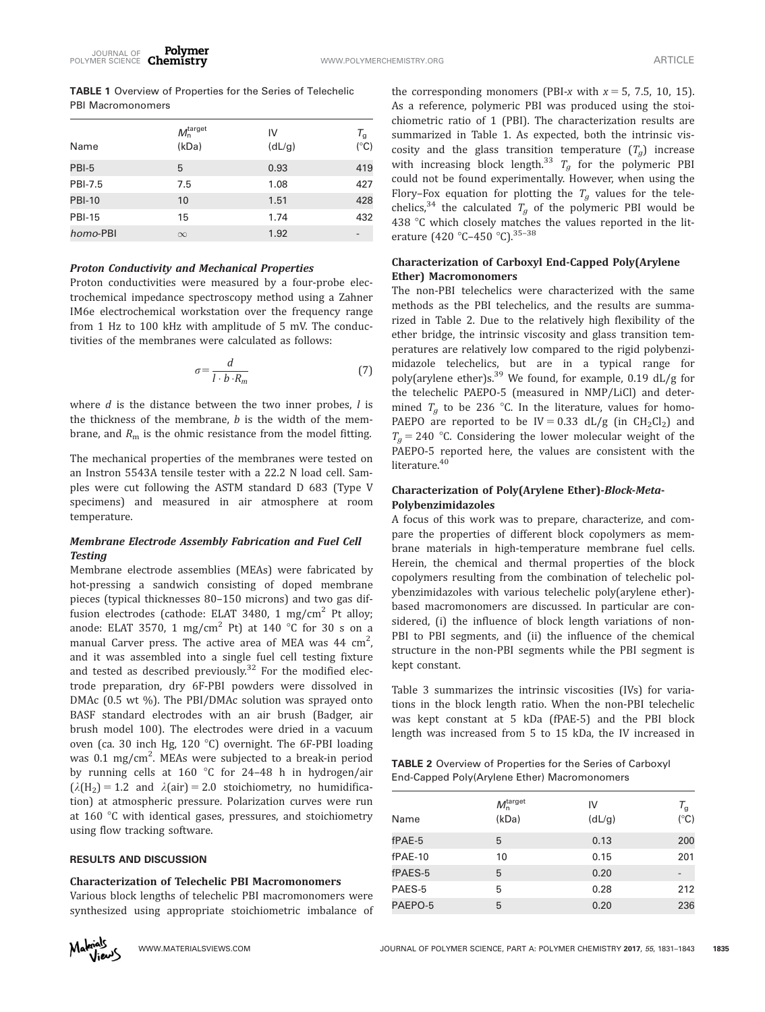TABLE 1 Overview of Properties for the Series of Telechelic PBI Macromonomers

| M <sub>n</sub> <sup>target</sup><br>(kDa) | IV<br>(dL/g) | T <sub>g</sub><br>$(^{\circ}C)$ |
|-------------------------------------------|--------------|---------------------------------|
| 5                                         | 0.93         | 419                             |
| 7.5                                       | 1.08         | 427                             |
| 10                                        | 1.51         | 428                             |
| 15                                        | 1.74         | 432                             |
| $\infty$                                  | 1.92         |                                 |
|                                           |              |                                 |

#### Proton Conductivity and Mechanical Properties

Proton conductivities were measured by a four-probe electrochemical impedance spectroscopy method using a Zahner IM6e electrochemical workstation over the frequency range from 1 Hz to 100 kHz with amplitude of 5 mV. The conductivities of the membranes were calculated as follows:

$$
\sigma = \frac{d}{l \cdot b \cdot R_m} \tag{7}
$$

where  $d$  is the distance between the two inner probes,  $l$  is the thickness of the membrane,  $b$  is the width of the membrane, and  $R<sub>m</sub>$  is the ohmic resistance from the model fitting.

The mechanical properties of the membranes were tested on an Instron 5543A tensile tester with a 22.2 N load cell. Samples were cut following the ASTM standard D 683 (Type V specimens) and measured in air atmosphere at room temperature.

#### Membrane Electrode Assembly Fabrication and Fuel Cell **Testing**

Membrane electrode assemblies (MEAs) were fabricated by hot-pressing a sandwich consisting of doped membrane pieces (typical thicknesses 80–150 microns) and two gas diffusion electrodes (cathode: ELAT 3480, 1 mg/cm<sup>2</sup> Pt alloy; anode: ELAT 3570, 1 mg/cm<sup>2</sup> Pt) at 140 °C for 30 s on a manual Carver press. The active area of MEA was  $44 \text{ cm}^2$ , , and it was assembled into a single fuel cell testing fixture and tested as described previously.<sup>32</sup> For the modified electrode preparation, dry 6F-PBI powders were dissolved in DMAc (0.5 wt %). The PBI/DMAc solution was sprayed onto BASF standard electrodes with an air brush (Badger, air brush model 100). The electrodes were dried in a vacuum oven (ca. 30 inch Hg, 120 °C) overnight. The 6F-PBI loading was 0.1 mg/cm<sup>2</sup>. MEAs were subjected to a break-in period by running cells at 160 °C for 24-48 h in hydrogen/air  $(\lambda(H_2) = 1.2$  and  $\lambda({\text{air}}) = 2.0$  stoichiometry, no humidification) at atmospheric pressure. Polarization curves were run at 160 °C with identical gases, pressures, and stoichiometry using flow tracking software.

#### RESULTS AND DISCUSSION

#### Characterization of Telechelic PBI Macromonomers

Various block lengths of telechelic PBI macromonomers were synthesized using appropriate stoichiometric imbalance of

the corresponding monomers (PBI-x with  $x = 5$ , 7.5, 10, 15). As a reference, polymeric PBI was produced using the stoichiometric ratio of 1 (PBI). The characterization results are summarized in Table 1. As expected, both the intrinsic viscosity and the glass transition temperature  $(T_a)$  increase with increasing block length.<sup>33</sup>  $T_a$  for the polymeric PBI could not be found experimentally. However, when using the Flory–Fox equation for plotting the  $T_g$  values for the telechelics,<sup>34</sup> the calculated  $T_g$  of the polymeric PBI would be 438  $\degree$ C which closely matches the values reported in the literature (420 °C-450 °C). 35-38

# Characterization of Carboxyl End-Capped Poly(Arylene Ether) Macromonomers

The non-PBI telechelics were characterized with the same methods as the PBI telechelics, and the results are summarized in Table 2. Due to the relatively high flexibility of the ether bridge, the intrinsic viscosity and glass transition temperatures are relatively low compared to the rigid polybenzimidazole telechelics, but are in a typical range for poly(arylene ether)s.39 We found, for example, 0.19 dL/g for the telechelic PAEPO-5 (measured in NMP/LiCl) and determined  $T_a$  to be 236 °C. In the literature, values for homo-PAEPO are reported to be IV = 0.33 dL/g (in  $CH_2Cl_2$ ) and  $T_a = 240$  °C. Considering the lower molecular weight of the PAEPO-5 reported here, the values are consistent with the literature.<sup>40</sup>

# Characterization of Poly(Arylene Ether)-Block-Meta-Polybenzimidazoles

A focus of this work was to prepare, characterize, and compare the properties of different block copolymers as membrane materials in high-temperature membrane fuel cells. Herein, the chemical and thermal properties of the block copolymers resulting from the combination of telechelic polybenzimidazoles with various telechelic poly(arylene ether) based macromonomers are discussed. In particular are considered, (i) the influence of block length variations of non-PBI to PBI segments, and (ii) the influence of the chemical structure in the non-PBI segments while the PBI segment is kept constant.

Table 3 summarizes the intrinsic viscosities (IVs) for variations in the block length ratio. When the non-PBI telechelic was kept constant at 5 kDa (fPAE-5) and the PBI block length was increased from 5 to 15 kDa, the IV increased in

TABLE 2 Overview of Properties for the Series of Carboxyl End-Capped Poly(Arylene Ether) Macromonomers

| Name           | M <sub>n</sub> <sup>target</sup><br>(kDa) | IV<br>(dL/g) | $T_{\rm g}$<br>$(^{\circ}C)$ |
|----------------|-------------------------------------------|--------------|------------------------------|
| fPAE-5         | 5                                         | 0.13         | 200                          |
| fPAE-10        | 10                                        | 0.15         | 201                          |
| <b>fPAES-5</b> | 5                                         | 0.20         |                              |
| PAES-5         | 5                                         | 0.28         | 212                          |
| PAEPO-5        | 5                                         | 0.20         | 236                          |

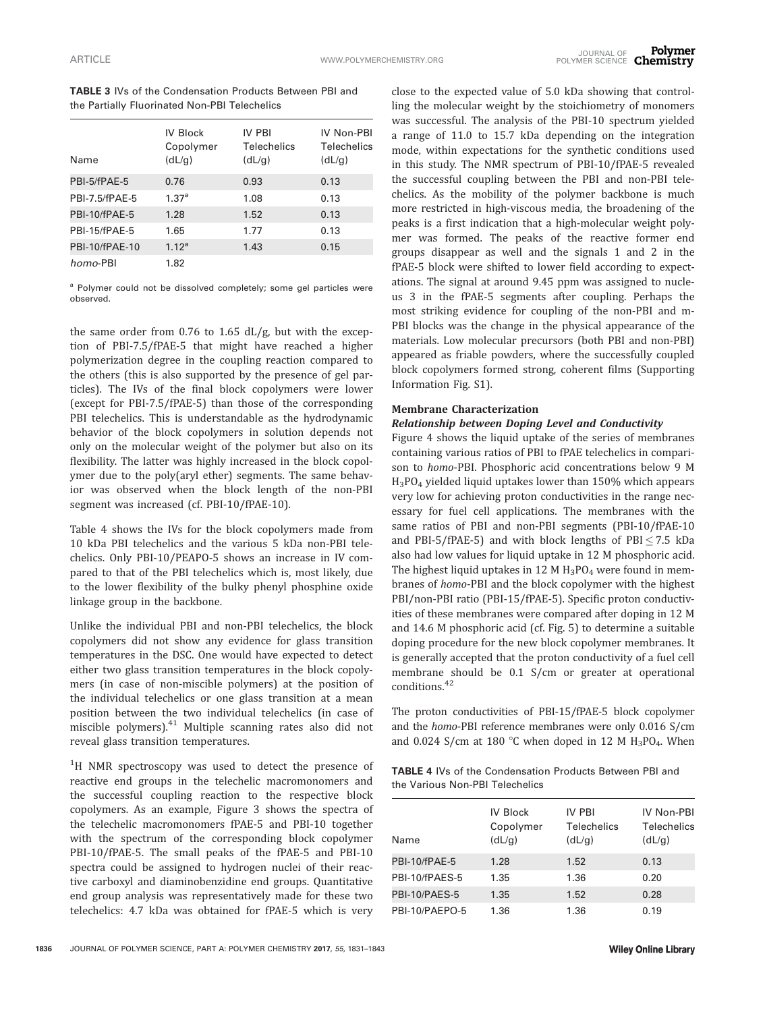TABLE 3 IVs of the Condensation Products Between PBI and the Partially Fluorinated Non-PBI Telechelics

| Name                  | <b>IV Block</b><br>Copolymer<br>(dL/g) | IV PRI<br><b>Telechelics</b><br>(dL/g) | IV Non-PBI<br>Telechelics<br>(dL/g) |
|-----------------------|----------------------------------------|----------------------------------------|-------------------------------------|
| PBI-5/fPAE-5          | 0.76                                   | 0.93                                   | 0.13                                |
| PBI-7.5/fPAF-5        | 1.37 <sup>a</sup>                      | 1.08                                   | 0.13                                |
| PBI-10/fPAE-5         | 1.28                                   | 1.52                                   | 0.13                                |
| PBI-15/fPAE-5         | 1.65                                   | 1.77                                   | 0.13                                |
| <b>PBI-10/fPAE-10</b> | 1.12 <sup>a</sup>                      | 1.43                                   | 0.15                                |
| homo-PBI              | 1.82                                   |                                        |                                     |

<sup>a</sup> Polymer could not be dissolved completely; some gel particles were observed.

the same order from 0.76 to 1.65 dL/g, but with the exception of PBI-7.5/fPAE-5 that might have reached a higher polymerization degree in the coupling reaction compared to the others (this is also supported by the presence of gel particles). The IVs of the final block copolymers were lower (except for PBI-7.5/fPAE-5) than those of the corresponding PBI telechelics. This is understandable as the hydrodynamic behavior of the block copolymers in solution depends not only on the molecular weight of the polymer but also on its flexibility. The latter was highly increased in the block copolymer due to the poly(aryl ether) segments. The same behavior was observed when the block length of the non-PBI segment was increased (cf. PBI-10/fPAE-10).

Table 4 shows the IVs for the block copolymers made from 10 kDa PBI telechelics and the various 5 kDa non-PBI telechelics. Only PBI-10/PEAPO-5 shows an increase in IV compared to that of the PBI telechelics which is, most likely, due to the lower flexibility of the bulky phenyl phosphine oxide linkage group in the backbone.

Unlike the individual PBI and non-PBI telechelics, the block copolymers did not show any evidence for glass transition temperatures in the DSC. One would have expected to detect either two glass transition temperatures in the block copolymers (in case of non-miscible polymers) at the position of the individual telechelics or one glass transition at a mean position between the two individual telechelics (in case of miscible polymers).<sup>41</sup> Multiple scanning rates also did not reveal glass transition temperatures.

<sup>1</sup>H NMR spectroscopy was used to detect the presence of reactive end groups in the telechelic macromonomers and the successful coupling reaction to the respective block copolymers. As an example, Figure 3 shows the spectra of the telechelic macromonomers fPAE-5 and PBI-10 together with the spectrum of the corresponding block copolymer PBI-10/fPAE-5. The small peaks of the fPAE-5 and PBI-10 spectra could be assigned to hydrogen nuclei of their reactive carboxyl and diaminobenzidine end groups. Quantitative end group analysis was representatively made for these two telechelics: 4.7 kDa was obtained for fPAE-5 which is very

close to the expected value of 5.0 kDa showing that controlling the molecular weight by the stoichiometry of monomers was successful. The analysis of the PBI-10 spectrum yielded a range of 11.0 to 15.7 kDa depending on the integration mode, within expectations for the synthetic conditions used in this study. The NMR spectrum of PBI-10/fPAE-5 revealed the successful coupling between the PBI and non-PBI telechelics. As the mobility of the polymer backbone is much more restricted in high-viscous media, the broadening of the peaks is a first indication that a high-molecular weight polymer was formed. The peaks of the reactive former end groups disappear as well and the signals 1 and 2 in the fPAE-5 block were shifted to lower field according to expectations. The signal at around 9.45 ppm was assigned to nucleus 3 in the fPAE-5 segments after coupling. Perhaps the most striking evidence for coupling of the non-PBI and m-PBI blocks was the change in the physical appearance of the materials. Low molecular precursors (both PBI and non-PBI) appeared as friable powders, where the successfully coupled block copolymers formed strong, coherent films (Supporting Information Fig. S1).

#### Membrane Characterization

#### Relationship between Doping Level and Conductivity

Figure 4 shows the liquid uptake of the series of membranes containing various ratios of PBI to fPAE telechelics in comparison to homo-PBI. Phosphoric acid concentrations below 9 M  $H_3PO_4$  yielded liquid uptakes lower than 150% which appears very low for achieving proton conductivities in the range necessary for fuel cell applications. The membranes with the same ratios of PBI and non-PBI segments (PBI-10/fPAE-10 and PBI-5/fPAE-5) and with block lengths of PBI $\leq$  7.5 kDa also had low values for liquid uptake in 12 M phosphoric acid. The highest liquid uptakes in 12 M  $H_3PO_4$  were found in membranes of homo-PBI and the block copolymer with the highest PBI/non-PBI ratio (PBI-15/fPAE-5). Specific proton conductivities of these membranes were compared after doping in 12 M and 14.6 M phosphoric acid (cf. Fig. 5) to determine a suitable doping procedure for the new block copolymer membranes. It is generally accepted that the proton conductivity of a fuel cell membrane should be 0.1 S/cm or greater at operational conditions.<sup>42</sup>

The proton conductivities of PBI-15/fPAE-5 block copolymer and the homo-PBI reference membranes were only 0.016 S/cm and 0.024 S/cm at 180 °C when doped in 12 M  $H_3PO_4$ . When

TABLE 4 IVs of the Condensation Products Between PBI and the Various Non-PBI Telechelics

| Name           | <b>IV Block</b><br>Copolymer<br>(dL/g) | IV PBI<br><b>Telechelics</b><br>(dL/g) | IV Non-PBI<br>Telechelics<br>(dL/g) |
|----------------|----------------------------------------|----------------------------------------|-------------------------------------|
| PBI-10/fPAE-5  | 1.28                                   | 1.52                                   | 0.13                                |
| PBI-10/fPAES-5 | 1.35                                   | 1.36                                   | 0.20                                |
| PBI-10/PAES-5  | 1.35                                   | 1.52                                   | 0.28                                |
| PBI-10/PAEPO-5 | 1.36                                   | 1.36                                   | 0.19                                |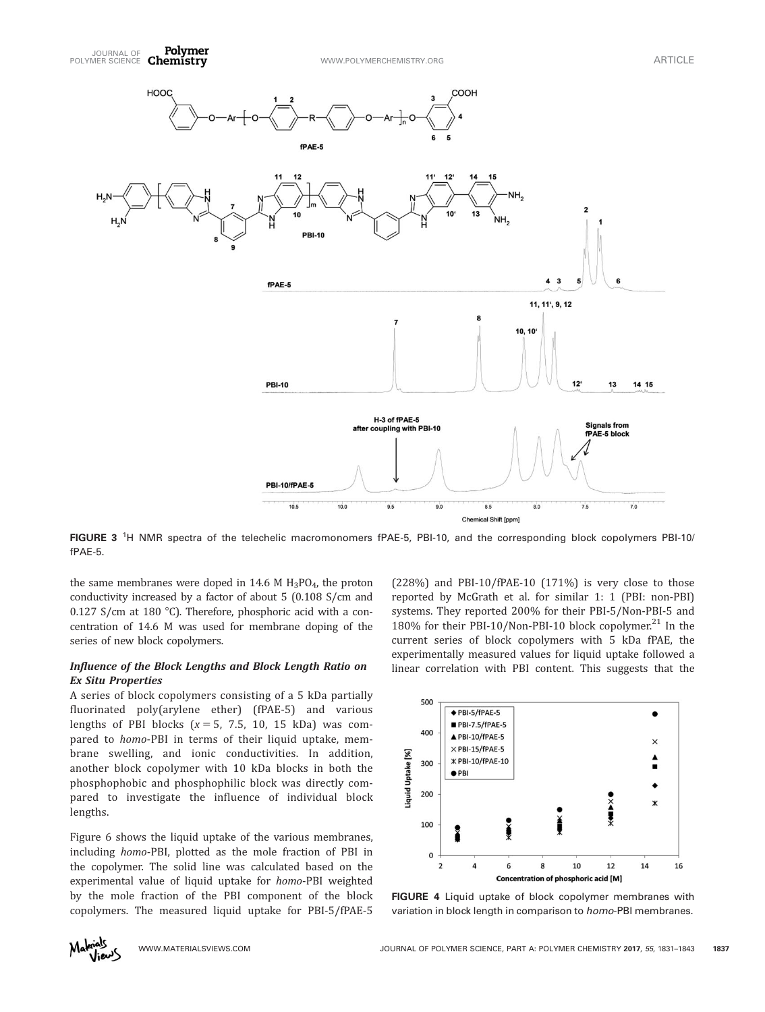

FIGURE 3<sup>1</sup>H NMR spectra of the telechelic macromonomers fPAE-5, PBI-10, and the corresponding block copolymers PBI-10/ fPAE-5.

the same membranes were doped in 14.6 M  $H_3PO_4$ , the proton conductivity increased by a factor of about 5 (0.108 S/cm and 0.127 S/cm at 180 °C). Therefore, phosphoric acid with a concentration of 14.6 M was used for membrane doping of the series of new block copolymers.

# Influence of the Block Lengths and Block Length Ratio on Ex Situ Properties

A series of block copolymers consisting of a 5 kDa partially fluorinated poly(arylene ether) (fPAE-5) and various lengths of PBI blocks  $(x = 5, 7.5, 10, 15 kDa)$  was compared to homo-PBI in terms of their liquid uptake, membrane swelling, and ionic conductivities. In addition, another block copolymer with 10 kDa blocks in both the phosphophobic and phosphophilic block was directly compared to investigate the influence of individual block lengths.

Figure 6 shows the liquid uptake of the various membranes, including homo-PBI, plotted as the mole fraction of PBI in the copolymer. The solid line was calculated based on the experimental value of liquid uptake for homo-PBI weighted by the mole fraction of the PBI component of the block copolymers. The measured liquid uptake for PBI-5/fPAE-5

(228%) and PBI-10/fPAE-10 (171%) is very close to those reported by McGrath et al. for similar 1: 1 (PBI: non-PBI) systems. They reported 200% for their PBI-5/Non-PBI-5 and 180% for their PBI-10/Non-PBI-10 block copolymer.<sup>21</sup> In the current series of block copolymers with 5 kDa fPAE, the experimentally measured values for liquid uptake followed a linear correlation with PBI content. This suggests that the



FIGURE 4 Liquid uptake of block copolymer membranes with variation in block length in comparison to homo-PBI membranes.

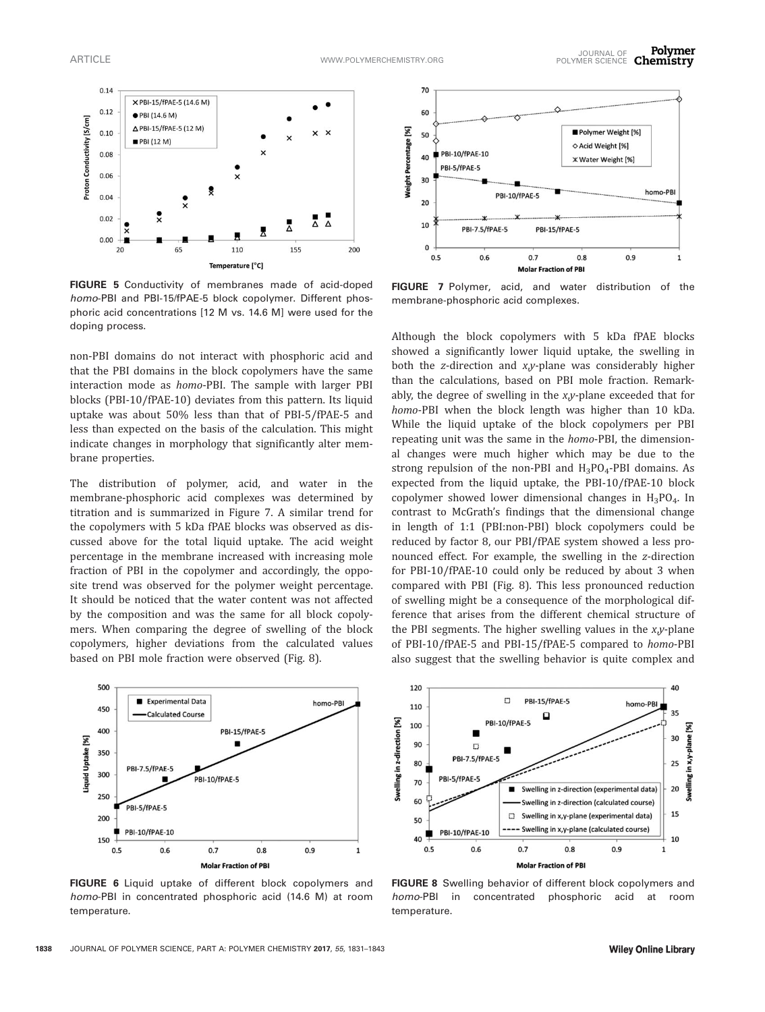

FIGURE 5 Conductivity of membranes made of acid-doped homo-PBI and PBI-15/fPAE-5 block copolymer. Different phosphoric acid concentrations [12 M vs. 14.6 M] were used for the doping process.

non-PBI domains do not interact with phosphoric acid and that the PBI domains in the block copolymers have the same interaction mode as homo-PBI. The sample with larger PBI blocks (PBI-10/fPAE-10) deviates from this pattern. Its liquid uptake was about 50% less than that of PBI-5/fPAE-5 and less than expected on the basis of the calculation. This might indicate changes in morphology that significantly alter membrane properties.

The distribution of polymer, acid, and water in the membrane-phosphoric acid complexes was determined by titration and is summarized in Figure 7. A similar trend for the copolymers with 5 kDa fPAE blocks was observed as discussed above for the total liquid uptake. The acid weight percentage in the membrane increased with increasing mole fraction of PBI in the copolymer and accordingly, the opposite trend was observed for the polymer weight percentage. It should be noticed that the water content was not affected by the composition and was the same for all block copolymers. When comparing the degree of swelling of the block copolymers, higher deviations from the calculated values based on PBI mole fraction were observed (Fig. 8).



FIGURE 6 Liquid uptake of different block copolymers and homo-PBI in concentrated phosphoric acid (14.6 M) at room temperature.



FIGURE 7 Polymer, acid, and water distribution of the membrane-phosphoric acid complexes.

Although the block copolymers with 5 kDa fPAE blocks showed a significantly lower liquid uptake, the swelling in both the z-direction and x,y-plane was considerably higher than the calculations, based on PBI mole fraction. Remarkably, the degree of swelling in the x,y-plane exceeded that for homo-PBI when the block length was higher than 10 kDa. While the liquid uptake of the block copolymers per PBI repeating unit was the same in the *homo-PBI*, the dimensional changes were much higher which may be due to the strong repulsion of the non-PBI and  $H_3PO_4$ -PBI domains. As expected from the liquid uptake, the PBI-10/fPAE-10 block copolymer showed lower dimensional changes in  $H_3PO_4$ . In contrast to McGrath's findings that the dimensional change in length of 1:1 (PBI:non-PBI) block copolymers could be reduced by factor 8, our PBI/fPAE system showed a less pronounced effect. For example, the swelling in the z-direction for PBI-10/fPAE-10 could only be reduced by about 3 when compared with PBI (Fig. 8). This less pronounced reduction of swelling might be a consequence of the morphological difference that arises from the different chemical structure of the PBI segments. The higher swelling values in the x,y-plane of PBI-10/fPAE-5 and PBI-15/fPAE-5 compared to homo-PBI also suggest that the swelling behavior is quite complex and



FIGURE 8 Swelling behavior of different block copolymers and homo-PBI in concentrated phosphoric acid at room temperature.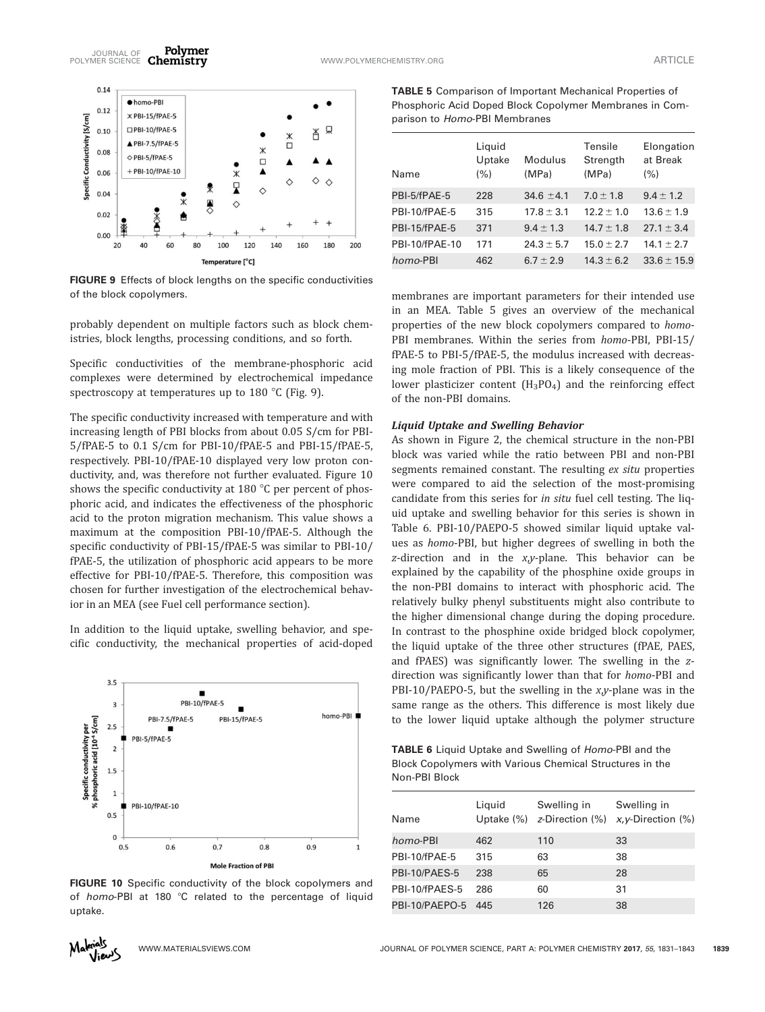

FIGURE 9 Effects of block lengths on the specific conductivities of the block copolymers.

probably dependent on multiple factors such as block chemistries, block lengths, processing conditions, and so forth.

Specific conductivities of the membrane-phosphoric acid complexes were determined by electrochemical impedance spectroscopy at temperatures up to  $180^{\circ}$ C (Fig. 9).

The specific conductivity increased with temperature and with increasing length of PBI blocks from about 0.05 S/cm for PBI-5/fPAE-5 to 0.1 S/cm for PBI-10/fPAE-5 and PBI-15/fPAE-5, respectively. PBI-10/fPAE-10 displayed very low proton conductivity, and, was therefore not further evaluated. Figure 10 shows the specific conductivity at 180  $\degree$ C per percent of phosphoric acid, and indicates the effectiveness of the phosphoric acid to the proton migration mechanism. This value shows a maximum at the composition PBI-10/fPAE-5. Although the specific conductivity of PBI-15/fPAE-5 was similar to PBI-10/ fPAE-5, the utilization of phosphoric acid appears to be more effective for PBI-10/fPAE-5. Therefore, this composition was chosen for further investigation of the electrochemical behavior in an MEA (see Fuel cell performance section).

In addition to the liquid uptake, swelling behavior, and specific conductivity, the mechanical properties of acid-doped



FIGURE 10 Specific conductivity of the block copolymers and of homo-PBI at 180  $^{\circ}$ C related to the percentage of liquid uptake.

TABLE 5 Comparison of Important Mechanical Properties of Phosphoric Acid Doped Block Copolymer Membranes in Comparison to Homo-PBI Membranes

| Name           | Liguid<br>Uptake<br>(% ) | Modulus<br>(MPa) | Tensile<br>Strength<br>(MPa) | Elongation<br>at Break<br>(% ) |
|----------------|--------------------------|------------------|------------------------------|--------------------------------|
| PBI-5/fPAE-5   | 228                      | $34.6 \pm 4.1$   | $7.0 \pm 1.8$                | $9.4 \pm 1.2$                  |
| PBI-10/fPAE-5  | 315                      | $17.8 \pm 3.1$   | $12.2 + 1.0$                 | $13.6 \pm 1.9$                 |
| PBI-15/fPAE-5  | 371                      | $9.4 \pm 1.3$    | $14.7 + 1.8$                 | $27.1 \pm 3.4$                 |
| PBI-10/fPAE-10 | 171                      | $24.3 \pm 5.7$   | $15.0 \pm 2.7$               | $14.1 \pm 2.7$                 |
| homo-PBI       | 462                      | $6.7 \pm 2.9$    | $14.3 \pm 6.2$               | $33.6 \pm 15.9$                |

membranes are important parameters for their intended use in an MEA. Table 5 gives an overview of the mechanical properties of the new block copolymers compared to homo-PBI membranes. Within the series from homo-PBI, PBI-15/ fPAE-5 to PBI-5/fPAE-5, the modulus increased with decreasing mole fraction of PBI. This is a likely consequence of the lower plasticizer content  $(H_3PO_4)$  and the reinforcing effect of the non-PBI domains.

#### Liquid Uptake and Swelling Behavior

As shown in Figure 2, the chemical structure in the non-PBI block was varied while the ratio between PBI and non-PBI segments remained constant. The resulting ex situ properties were compared to aid the selection of the most-promising candidate from this series for in situ fuel cell testing. The liquid uptake and swelling behavior for this series is shown in Table 6. PBI-10/PAEPO-5 showed similar liquid uptake values as homo-PBI, but higher degrees of swelling in both the  $z$ -direction and in the  $x,y$ -plane. This behavior can be explained by the capability of the phosphine oxide groups in the non-PBI domains to interact with phosphoric acid. The relatively bulky phenyl substituents might also contribute to the higher dimensional change during the doping procedure. In contrast to the phosphine oxide bridged block copolymer, the liquid uptake of the three other structures (fPAE, PAES, and fPAES) was significantly lower. The swelling in the zdirection was significantly lower than that for homo-PBI and PBI-10/PAEPO-5, but the swelling in the  $xy$ -plane was in the same range as the others. This difference is most likely due to the lower liquid uptake although the polymer structure

TABLE 6 Liquid Uptake and Swelling of Homo-PBI and the Block Copolymers with Various Chemical Structures in the Non-PBI Block

| Name           | Liguid | Swelling in | Swelling in<br>Uptake $(\%)$ z-Direction $(\%)$ x, y-Direction $(\%)$ |
|----------------|--------|-------------|-----------------------------------------------------------------------|
| homo-PBI       | 462    | 110         | 33                                                                    |
| PBI-10/fPAE-5  | 315    | 63          | 38                                                                    |
| PBI-10/PAES-5  | 238    | 65          | 28                                                                    |
| PBI-10/fPAES-5 | 286    | 60          | 31                                                                    |
| PBI-10/PAEPO-5 | 445    | 126         | 38                                                                    |

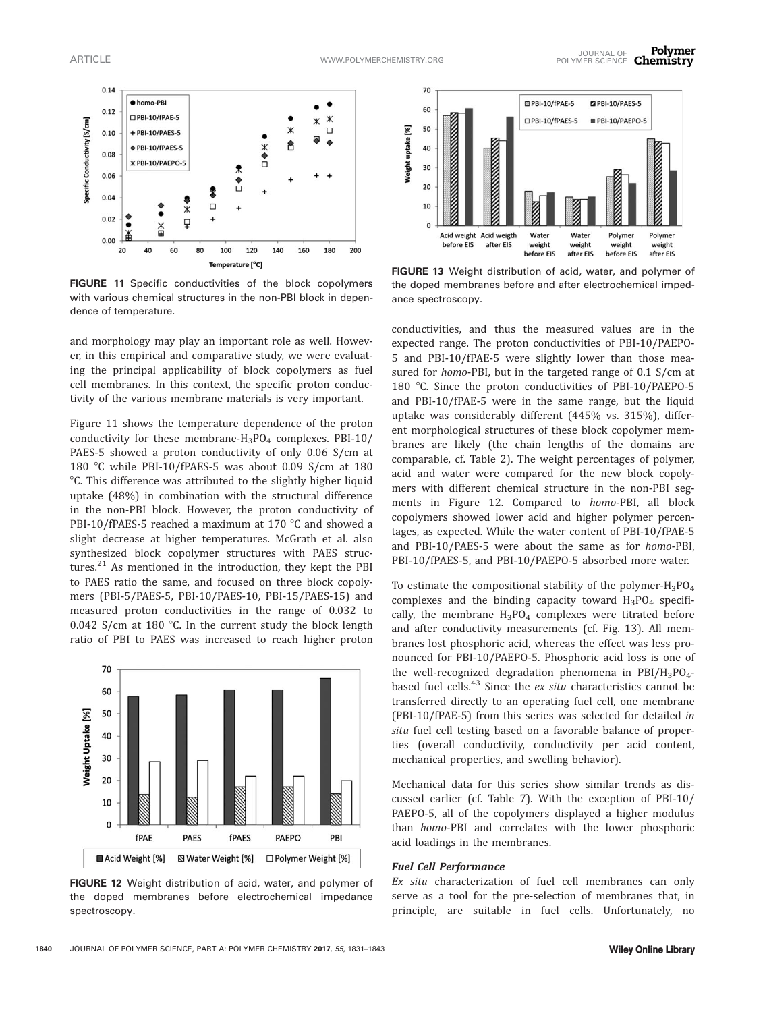

FIGURE 11 Specific conductivities of the block copolymers with various chemical structures in the non-PBI block in dependence of temperature.

and morphology may play an important role as well. However, in this empirical and comparative study, we were evaluating the principal applicability of block copolymers as fuel cell membranes. In this context, the specific proton conductivity of the various membrane materials is very important.

Figure 11 shows the temperature dependence of the proton conductivity for these membrane- $H_3PO_4$  complexes. PBI-10/ PAES-5 showed a proton conductivity of only 0.06 S/cm at 180 °C while PBI-10/fPAES-5 was about 0.09 S/cm at 180 <sup>o</sup>C. This difference was attributed to the slightly higher liquid uptake (48%) in combination with the structural difference in the non-PBI block. However, the proton conductivity of PBI-10/fPAES-5 reached a maximum at 170  $\degree$ C and showed a slight decrease at higher temperatures. McGrath et al. also synthesized block copolymer structures with PAES structures. $^{21}$  As mentioned in the introduction, they kept the PBI to PAES ratio the same, and focused on three block copolymers (PBI-5/PAES-5, PBI-10/PAES-10, PBI-15/PAES-15) and measured proton conductivities in the range of 0.032 to 0.042 S/cm at 180  $^{\circ}$ C. In the current study the block length ratio of PBI to PAES was increased to reach higher proton



FIGURE 12 Weight distribution of acid, water, and polymer of the doped membranes before electrochemical impedance spectroscopy.



FIGURE 13 Weight distribution of acid, water, and polymer of the doped membranes before and after electrochemical impedance spectroscopy.

conductivities, and thus the measured values are in the expected range. The proton conductivities of PBI-10/PAEPO-5 and PBI-10/fPAE-5 were slightly lower than those measured for homo-PBI, but in the targeted range of 0.1 S/cm at 180 °C. Since the proton conductivities of PBI-10/PAEPO-5 and PBI-10/fPAE-5 were in the same range, but the liquid uptake was considerably different (445% vs. 315%), different morphological structures of these block copolymer membranes are likely (the chain lengths of the domains are comparable, cf. Table 2). The weight percentages of polymer, acid and water were compared for the new block copolymers with different chemical structure in the non-PBI segments in Figure 12. Compared to homo-PBI, all block copolymers showed lower acid and higher polymer percentages, as expected. While the water content of PBI-10/fPAE-5 and PBI-10/PAES-5 were about the same as for homo-PBI, PBI-10/fPAES-5, and PBI-10/PAEPO-5 absorbed more water.

To estimate the compositional stability of the polymer- $H_3PO_4$ complexes and the binding capacity toward  $H_3PO_4$  specifically, the membrane  $H_3PO_4$  complexes were titrated before and after conductivity measurements (cf. Fig. 13). All membranes lost phosphoric acid, whereas the effect was less pronounced for PBI-10/PAEPO-5. Phosphoric acid loss is one of the well-recognized degradation phenomena in PBI/ $H_3PO_4$ based fuel cells.<sup>43</sup> Since the *ex situ* characteristics cannot be transferred directly to an operating fuel cell, one membrane (PBI-10/fPAE-5) from this series was selected for detailed in situ fuel cell testing based on a favorable balance of properties (overall conductivity, conductivity per acid content, mechanical properties, and swelling behavior).

Mechanical data for this series show similar trends as discussed earlier (cf. Table 7). With the exception of PBI-10/ PAEPO-5, all of the copolymers displayed a higher modulus than homo-PBI and correlates with the lower phosphoric acid loadings in the membranes.

# Fuel Cell Performance

Ex situ characterization of fuel cell membranes can only serve as a tool for the pre-selection of membranes that, in principle, are suitable in fuel cells. Unfortunately, no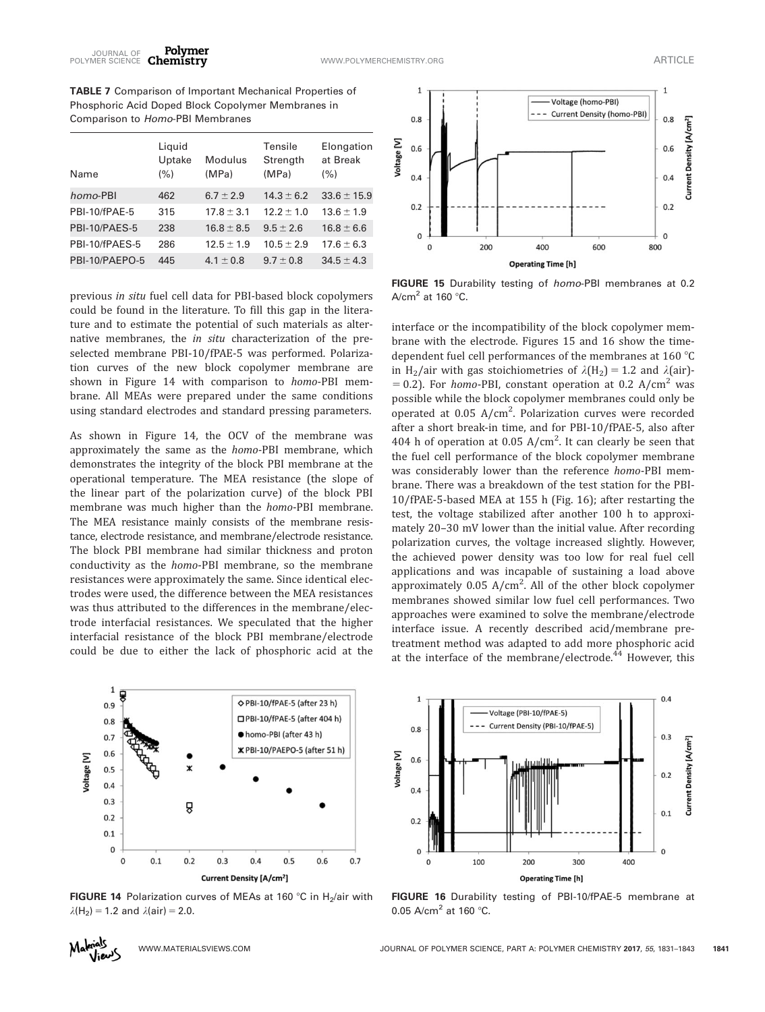TABLE 7 Comparison of Important Mechanical Properties of Phosphoric Acid Doped Block Copolymer Membranes in Comparison to Homo-PBI Membranes

| Liguid<br>Uptake<br>(% ) | Modulus<br>(MPa) | Tensile<br>Strength<br>(MPa) | Elongation<br>at Break<br>$(\% )$ |
|--------------------------|------------------|------------------------------|-----------------------------------|
| 462                      | $6.7 \pm 2.9$    | $14.3 \pm 6.2$               | $33.6 \pm 15.9$                   |
| 315                      | $17.8 \pm 3.1$   | $12.2 \pm 1.0$               | $13.6 \pm 1.9$                    |
| 238                      | $16.8 \pm 8.5$   | $9.5 \pm 2.6$                | $16.8 \pm 6.6$                    |
| 286                      | $12.5 \pm 1.9$   | $10.5 \pm 2.9$               | $17.6 \pm 6.3$                    |
| 445                      | $4.1 \pm 0.8$    | $9.7 + 0.8$                  | $34.5 \pm 4.3$                    |
|                          |                  |                              |                                   |

previous in situ fuel cell data for PBI-based block copolymers could be found in the literature. To fill this gap in the literature and to estimate the potential of such materials as alternative membranes, the in situ characterization of the preselected membrane PBI-10/fPAE-5 was performed. Polarization curves of the new block copolymer membrane are shown in Figure 14 with comparison to homo-PBI membrane. All MEAs were prepared under the same conditions using standard electrodes and standard pressing parameters.

As shown in Figure 14, the OCV of the membrane was approximately the same as the homo-PBI membrane, which demonstrates the integrity of the block PBI membrane at the operational temperature. The MEA resistance (the slope of the linear part of the polarization curve) of the block PBI membrane was much higher than the homo-PBI membrane. The MEA resistance mainly consists of the membrane resistance, electrode resistance, and membrane/electrode resistance. The block PBI membrane had similar thickness and proton conductivity as the homo-PBI membrane, so the membrane resistances were approximately the same. Since identical electrodes were used, the difference between the MEA resistances was thus attributed to the differences in the membrane/electrode interfacial resistances. We speculated that the higher interfacial resistance of the block PBI membrane/electrode could be due to either the lack of phosphoric acid at the



FIGURE 14 Polarization curves of MEAs at 160 °C in H<sub>2</sub>/air with  $\lambda(H_2) = 1.2$  and  $\lambda(\text{air}) = 2.0$ .



FIGURE 15 Durability testing of homo-PBI membranes at 0.2 A/cm<sup>2</sup> at 160 $°C$ .

interface or the incompatibility of the block copolymer membrane with the electrode. Figures 15 and 16 show the timedependent fuel cell performances of the membranes at 160 $\degree$ C in H<sub>2</sub>/air with gas stoichiometries of  $\lambda(H_2) = 1.2$  and  $\lambda(\text{air})$ - $= 0.2$ ). For homo-PBI, constant operation at 0.2 A/cm<sup>2</sup> was possible while the block copolymer membranes could only be operated at 0.05 A/cm<sup>2</sup>. Polarization curves were recorded after a short break-in time, and for PBI-10/fPAE-5, also after 404 h of operation at 0.05  $A/cm^2$ . It can clearly be seen that the fuel cell performance of the block copolymer membrane was considerably lower than the reference homo-PBI membrane. There was a breakdown of the test station for the PBI-10/fPAE-5-based MEA at 155 h (Fig. 16); after restarting the test, the voltage stabilized after another 100 h to approximately 20–30 mV lower than the initial value. After recording polarization curves, the voltage increased slightly. However, the achieved power density was too low for real fuel cell applications and was incapable of sustaining a load above approximately  $0.05$  A/cm<sup>2</sup>. All of the other block copolymer membranes showed similar low fuel cell performances. Two approaches were examined to solve the membrane/electrode interface issue. A recently described acid/membrane pretreatment method was adapted to add more phosphoric acid at the interface of the membrane/electrode.<sup>44</sup> However, this



FIGURE 16 Durability testing of PBI-10/fPAE-5 membrane at 0.05 A/cm<sup>2</sup> at 160 °C.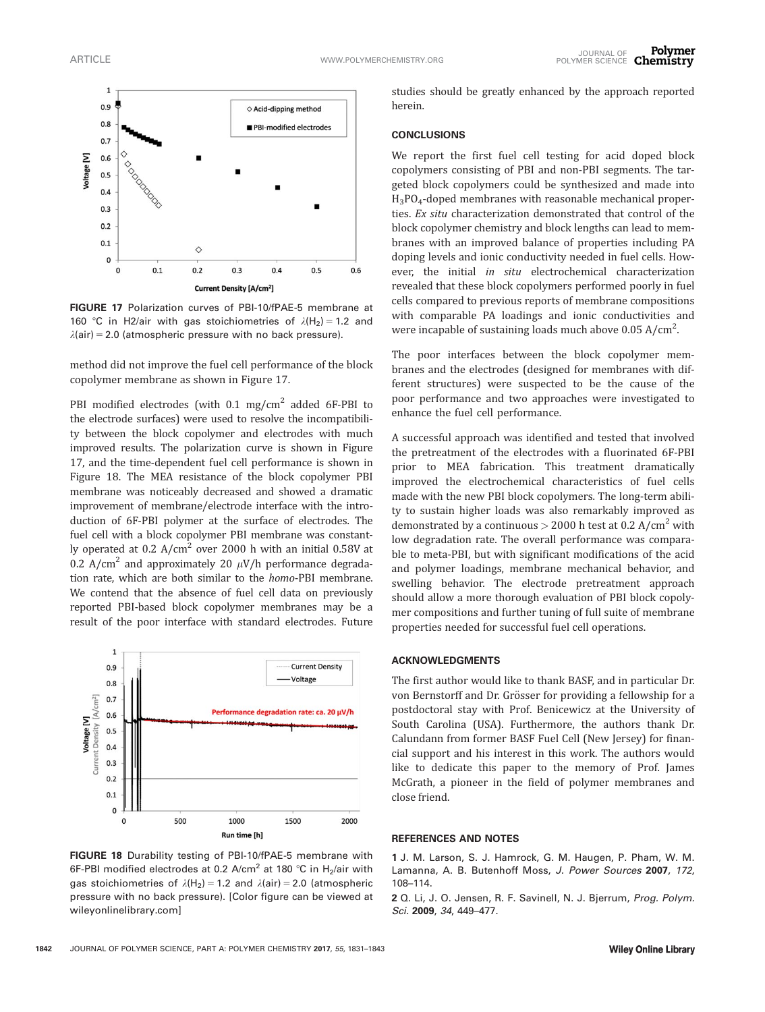

FIGURE 17 Polarization curves of PBI-10/fPAE-5 membrane at 160 °C in H2/air with gas stoichiometries of  $\lambda(H_2) = 1.2$  and  $\lambda$ (air) = 2.0 (atmospheric pressure with no back pressure).

method did not improve the fuel cell performance of the block copolymer membrane as shown in Figure 17.

PBI modified electrodes (with  $0.1 \text{ mg/cm}^2$  added 6F-PBI to the electrode surfaces) were used to resolve the incompatibility between the block copolymer and electrodes with much improved results. The polarization curve is shown in Figure 17, and the time-dependent fuel cell performance is shown in Figure 18. The MEA resistance of the block copolymer PBI membrane was noticeably decreased and showed a dramatic improvement of membrane/electrode interface with the introduction of 6F-PBI polymer at the surface of electrodes. The fuel cell with a block copolymer PBI membrane was constantly operated at  $0.2$  A/cm<sup>2</sup> over 2000 h with an initial 0.58V at 0.2 A/cm<sup>2</sup> and approximately 20  $\mu$ V/h performance degradation rate, which are both similar to the homo-PBI membrane. We contend that the absence of fuel cell data on previously reported PBI-based block copolymer membranes may be a result of the poor interface with standard electrodes. Future



FIGURE 18 Durability testing of PBI-10/fPAE-5 membrane with 6F-PBI modified electrodes at 0.2 A/cm<sup>2</sup> at 180 °C in H<sub>2</sub>/air with gas stoichiometries of  $\lambda(H_2) = 1.2$  and  $\lambda(\text{air}) = 2.0$  (atmospheric pressure with no back pressure). [Color figure can be viewed at [wileyonlinelibrary.com\]](http://wileyonlinelibrary.com)

1842 JOURNAL OF POLYMER SCIENCE, PART A: POLYMER CHEMISTRY 2017, 55, 1831–1843

studies should be greatly enhanced by the approach reported herein.

#### **CONCLUSIONS**

We report the first fuel cell testing for acid doped block copolymers consisting of PBI and non-PBI segments. The targeted block copolymers could be synthesized and made into H3PO4-doped membranes with reasonable mechanical properties. Ex situ characterization demonstrated that control of the block copolymer chemistry and block lengths can lead to membranes with an improved balance of properties including PA doping levels and ionic conductivity needed in fuel cells. However, the initial in situ electrochemical characterization revealed that these block copolymers performed poorly in fuel cells compared to previous reports of membrane compositions with comparable PA loadings and ionic conductivities and were incapable of sustaining loads much above  $0.05 A/cm<sup>2</sup>$ . .

The poor interfaces between the block copolymer membranes and the electrodes (designed for membranes with different structures) were suspected to be the cause of the poor performance and two approaches were investigated to enhance the fuel cell performance.

A successful approach was identified and tested that involved the pretreatment of the electrodes with a fluorinated 6F-PBI prior to MEA fabrication. This treatment dramatically improved the electrochemical characteristics of fuel cells made with the new PBI block copolymers. The long-term ability to sustain higher loads was also remarkably improved as demonstrated by a continuous  $>$  2000 h test at 0.2 A/cm<sup>2</sup> with low degradation rate. The overall performance was comparable to meta-PBI, but with significant modifications of the acid and polymer loadings, membrane mechanical behavior, and swelling behavior. The electrode pretreatment approach should allow a more thorough evaluation of PBI block copolymer compositions and further tuning of full suite of membrane properties needed for successful fuel cell operations.

#### ACKNOWLEDGMENTS

The first author would like to thank BASF, and in particular Dr. von Bernstorff and Dr. Grösser for providing a fellowship for a postdoctoral stay with Prof. Benicewicz at the University of South Carolina (USA). Furthermore, the authors thank Dr. Calundann from former BASF Fuel Cell (New Jersey) for financial support and his interest in this work. The authors would like to dedicate this paper to the memory of Prof. James McGrath, a pioneer in the field of polymer membranes and close friend.

#### REFERENCES AND NOTES

1 J. M. Larson, S. J. Hamrock, G. M. Haugen, P. Pham, W. M. Lamanna, A. B. Butenhoff Moss, J. Power Sources 2007, 172, 108–114.

2 Q. Li, J. O. Jensen, R. F. Savinell, N. J. Bjerrum, Prog. Polym. Sci. 2009, 34, 449–477.